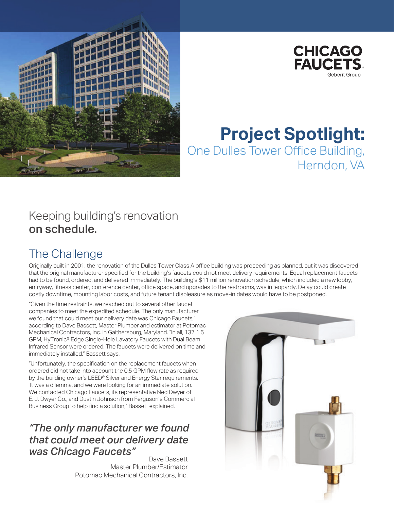



# **Project Spotlight:** One Dulles Tower Office Building, Herndon, VA

#### Keeping building's renovation on schedule.

### The Challenge

Originally built in 2001, the renovation of the Dulles Tower Class A office building was proceeding as planned, but it was discovered that the original manufacturer specified for the building's faucets could not meet delivery requirements. Equal replacement faucets had to be found, ordered, and delivered immediately. The building's \$11 million renovation schedule, which included a new lobby, entryway, fitness center, conference center, office space, and upgrades to the restrooms, was in jeopardy. Delay could create costly downtime, mounting labor costs, and future tenant displeasure as move-in dates would have to be postponed.

"Given the time restraints, we reached out to several other faucet companies to meet the expedited schedule. The only manufacturer we found that could meet our delivery date was Chicago Faucets," according to Dave Bassett, Master Plumber and estimator at Potomac Mechanical Contractors, Inc. in Gaithersburg, Maryland. "In all, 137 1.5 GPM, HyTronic® Edge Single-Hole Lavatory Faucets with Dual Beam Infrared Sensor were ordered. The faucets were delivered on time and immediately installed," Bassett says.

"Unfortunately, the specification on the replacement faucets when ordered did not take into account the 0.5 GPM flow rate as required by the building owner's LEED® Silver and Energy Star requirements. It was a dilemma, and we were looking for an immediate solution. We contacted Chicago Faucets, its representative Ned Dwyer of E. J. Dwyer Co., and Dustin Johnson from Ferguson's Commercial Business Group to help find a solution," Bassett explained.

#### *"The only manufacturer we found that could meet our delivery date was Chicago Faucets Dave Bassett*

Master Plumber/Estimator Potomac Mechanical Contractors, Inc.